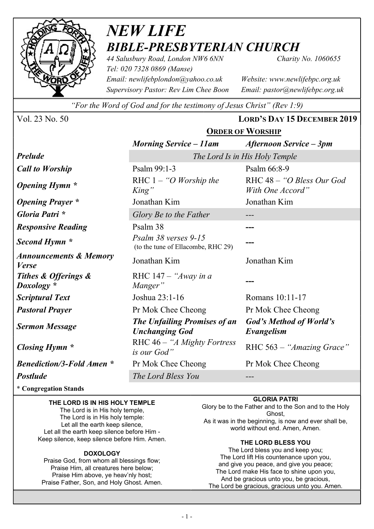

### NEW LIFE BIBLE-PRESBYTERIAN CHURCH 44 Salusbury Road, London NW6 6NN Charity No. 1060655

Tel: 020 7328 0869 (Manse) Email: newlifebplondon@yahoo.co.uk Website: www.newlifebpc.org.uk Supervisory Pastor: Rev Lim Chee Boon Email: pastor@newlifebpc.org.uk

"For the Word of God and for the testimony of Jesus Christ" (Rev 1:9)

Vol. 23 No. 50 LORD'S DAY 15 DECEMBER 2019 ORDER OF WORSHIP

|                                                   | <b>Morning Service – 11am</b>                                | <b>Afternoon Service – 3pm</b>                |  |  |
|---------------------------------------------------|--------------------------------------------------------------|-----------------------------------------------|--|--|
| <b>Prelude</b>                                    | The Lord Is in His Holy Temple                               |                                               |  |  |
| <b>Call to Worship</b>                            | Psalm 99:1-3                                                 | Psalm 66:8-9                                  |  |  |
| <b>Opening Hymn</b> *                             | RHC $1 - "O$ <i>Worship the</i><br>King"                     | RHC 48 – "O Bless Our God<br>With One Accord" |  |  |
| <b>Opening Prayer</b> *                           | Jonathan Kim                                                 | Jonathan Kim                                  |  |  |
| Gloria Patri *                                    | Glory Be to the Father                                       |                                               |  |  |
| <b>Responsive Reading</b>                         | Psalm 38                                                     |                                               |  |  |
| Second Hymn *                                     | Psalm 38 verses 9-15<br>(to the tune of Ellacombe, RHC 29)   |                                               |  |  |
| <b>Announcements &amp; Memory</b><br><b>Verse</b> | Jonathan Kim                                                 | Jonathan Kim                                  |  |  |
| Tithes & Offerings &<br>Doxology *                | RHC $147 -$ "Away in a<br>Manger"                            |                                               |  |  |
| <b>Scriptural Text</b>                            | Joshua 23:1-16                                               | Romans 10:11-17                               |  |  |
| <b>Pastoral Prayer</b>                            | Pr Mok Chee Cheong                                           | Pr Mok Chee Cheong                            |  |  |
| <b>Sermon Message</b>                             | <b>The Unfailing Promises of an</b><br><b>Unchanging God</b> | God's Method of World's<br>Evangelism         |  |  |
| <b>Closing Hymn</b> *                             | RHC $46 - "A$ Mighty Fortress<br>is our God"                 | RHC 563 - "Amazing Grace"                     |  |  |
| <b>Benediction/3-Fold Amen *</b>                  | Pr Mok Chee Cheong                                           | Pr Mok Chee Cheong                            |  |  |
| <b>Postlude</b>                                   | The Lord Bless You                                           |                                               |  |  |
|                                                   |                                                              |                                               |  |  |

\* Congregation Stands

#### THE LORD IS IN HIS HOLY TEMPLE

The Lord is in His holy temple, The Lord is in His holy temple: Let all the earth keep silence, Let all the earth keep silence before Him - Keep silence, keep silence before Him. Amen.

#### **DOXOLOGY**

Praise God, from whom all blessings flow; Praise Him, all creatures here below; Praise Him above, ye heav'nly host; Praise Father, Son, and Holy Ghost. Amen.

#### GLORIA PATRI

Glory be to the Father and to the Son and to the Holy Ghost, As it was in the beginning, is now and ever shall be, world without end. Amen, Amen.

#### THE LORD BLESS YOU

The Lord bless you and keep you; The Lord lift His countenance upon you, and give you peace, and give you peace; The Lord make His face to shine upon you, And be gracious unto you, be gracious, The Lord be gracious, gracious unto you. Amen.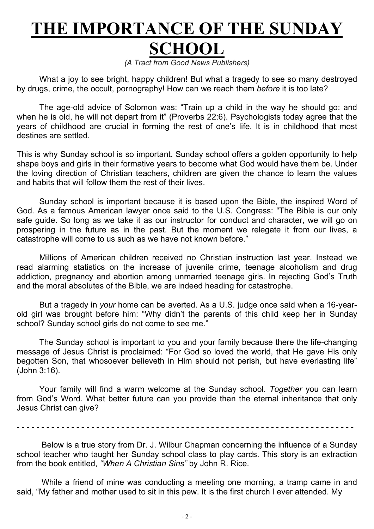# THE IMPORTANCE OF THE SUNDAY **SCHOOL**

(A Tract from Good News Publishers)

What a joy to see bright, happy children! But what a tragedy to see so many destroyed by drugs, crime, the occult, pornography! How can we reach them *before* it is too late?

 The age-old advice of Solomon was: "Train up a child in the way he should go: and when he is old, he will not depart from it" (Proverbs 22:6). Psychologists today agree that the years of childhood are crucial in forming the rest of one's life. It is in childhood that most destines are settled.

This is why Sunday school is so important. Sunday school offers a golden opportunity to help shape boys and girls in their formative years to become what God would have them be. Under the loving direction of Christian teachers, children are given the chance to learn the values and habits that will follow them the rest of their lives.

 Sunday school is important because it is based upon the Bible, the inspired Word of God. As a famous American lawyer once said to the U.S. Congress: "The Bible is our only safe guide. So long as we take it as our instructor for conduct and character, we will go on prospering in the future as in the past. But the moment we relegate it from our lives, a catastrophe will come to us such as we have not known before."

 Millions of American children received no Christian instruction last year. Instead we read alarming statistics on the increase of juvenile crime, teenage alcoholism and drug addiction, pregnancy and abortion among unmarried teenage girls. In rejecting God's Truth and the moral absolutes of the Bible, we are indeed heading for catastrophe.

 But a tragedy in your home can be averted. As a U.S. judge once said when a 16-yearold girl was brought before him: "Why didn't the parents of this child keep her in Sunday school? Sunday school girls do not come to see me."

 The Sunday school is important to you and your family because there the life-changing message of Jesus Christ is proclaimed: "For God so loved the world, that He gave His only begotten Son, that whosoever believeth in Him should not perish, but have everlasting life" (John 3:16).

Your family will find a warm welcome at the Sunday school. Together you can learn from God's Word. What better future can you provide than the eternal inheritance that only Jesus Christ can give?

- - - - - - - - - - - - - - - - - - - - - - - - - - - - - - - - - - - - - - - - - - - - - - - - - - - - - - - - - - - - - - - - - - - -

 Below is a true story from Dr. J. Wilbur Chapman concerning the influence of a Sunday school teacher who taught her Sunday school class to play cards. This story is an extraction from the book entitled, "When A Christian Sins" by John R. Rice.

 While a friend of mine was conducting a meeting one morning, a tramp came in and said, "My father and mother used to sit in this pew. It is the first church I ever attended. My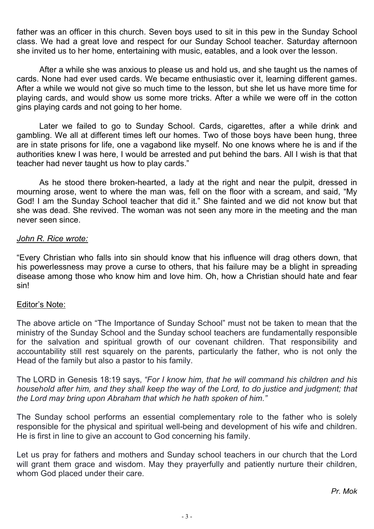father was an officer in this church. Seven boys used to sit in this pew in the Sunday School class. We had a great love and respect for our Sunday School teacher. Saturday afternoon she invited us to her home, entertaining with music, eatables, and a look over the lesson.

 After a while she was anxious to please us and hold us, and she taught us the names of cards. None had ever used cards. We became enthusiastic over it, learning different games. After a while we would not give so much time to the lesson, but she let us have more time for playing cards, and would show us some more tricks. After a while we were off in the cotton gins playing cards and not going to her home.

 Later we failed to go to Sunday School. Cards, cigarettes, after a while drink and gambling. We all at different times left our homes. Two of those boys have been hung, three are in state prisons for life, one a vagabond like myself. No one knows where he is and if the authorities knew I was here, I would be arrested and put behind the bars. All I wish is that that teacher had never taught us how to play cards."

 As he stood there broken-hearted, a lady at the right and near the pulpit, dressed in mourning arose, went to where the man was, fell on the floor with a scream, and said, "My God! I am the Sunday School teacher that did it." She fainted and we did not know but that she was dead. She revived. The woman was not seen any more in the meeting and the man never seen since.

#### John R. Rice wrote:

"Every Christian who falls into sin should know that his influence will drag others down, that his powerlessness may prove a curse to others, that his failure may be a blight in spreading disease among those who know him and love him. Oh, how a Christian should hate and fear sin!

#### Editor's Note:

The above article on "The Importance of Sunday School" must not be taken to mean that the ministry of the Sunday School and the Sunday school teachers are fundamentally responsible for the salvation and spiritual growth of our covenant children. That responsibility and accountability still rest squarely on the parents, particularly the father, who is not only the Head of the family but also a pastor to his family.

The LORD in Genesis 18:19 says, "For I know him, that he will command his children and his household after him, and they shall keep the way of the Lord, to do justice and judgment; that the Lord may bring upon Abraham that which he hath spoken of him."

The Sunday school performs an essential complementary role to the father who is solely responsible for the physical and spiritual well-being and development of his wife and children. He is first in line to give an account to God concerning his family.

Let us pray for fathers and mothers and Sunday school teachers in our church that the Lord will grant them grace and wisdom. May they prayerfully and patiently nurture their children, whom God placed under their care.